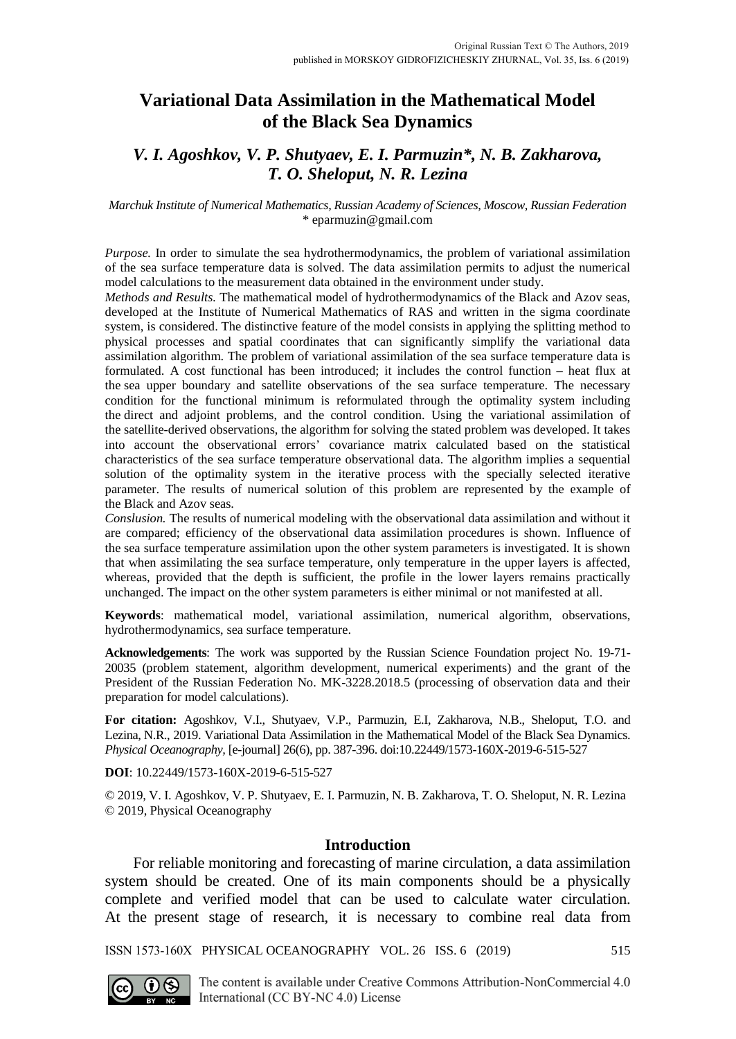# **Variational Data Assimilation in the Mathematical Model of the Black Sea Dynamics**

## *V. I. Agoshkov, V. P. Shutyaev, E. I. Parmuzin\*, N. B. Zakharova, T. O. Sheloput, N. R. Lezina*

#### *Marchuk Institute of Numerical Mathematics, Russian Academy of Sciences, Moscow, Russian Federation* \* eparmuzin@gmail.com

*Purpose.* In order to simulate the sea hydrothermodynamics, the problem of variational assimilation of the sea surface temperature data is solved. The data assimilation permits to adjust the numerical model calculations to the measurement data obtained in the environment under study.

*Methods and Results.* The mathematical model of hydrothermodynamics of the Black and Azov seas, developed at the Institute of Numerical Mathematics of RAS and written in the sigma coordinate system, is considered. The distinctive feature of the model consists in applying the splitting method to physical processes and spatial coordinates that can significantly simplify the variational data assimilation algorithm. The problem of variational assimilation of the sea surface temperature data is formulated. A cost functional has been introduced; it includes the control function – heat flux at the sea upper boundary and satellite observations of the sea surface temperature. The necessary condition for the functional minimum is reformulated through the optimality system including the direct and adjoint problems, and the control condition. Using the variational assimilation of the satellite-derived observations, the algorithm for solving the stated problem was developed. It takes into account the observational errors' covariance matrix calculated based on the statistical characteristics of the sea surface temperature observational data. The algorithm implies a sequential solution of the optimality system in the iterative process with the specially selected iterative parameter. The results of numerical solution of this problem are represented by the example of the Black and Azov seas.

*Conslusion.* The results of numerical modeling with the observational data assimilation and without it are compared; efficiency of the observational data assimilation procedures is shown. Influence of the sea surface temperature assimilation upon the other system parameters is investigated. It is shown that when assimilating the sea surface temperature, only temperature in the upper layers is affected, whereas, provided that the depth is sufficient, the profile in the lower layers remains practically unchanged. The impact on the other system parameters is either minimal or not manifested at all.

**Keywords**: mathematical model, variational assimilation, numerical algorithm, observations, hydrothermodynamics, sea surface temperature.

**Acknowledgements**: The work was supported by the Russian Science Foundation project No. 19-71- 20035 (problem statement, algorithm development, numerical experiments) and the grant of the President of the Russian Federation No. MK-3228.2018.5 (processing of observation data and their preparation for model calculations).

**For citation:** Agoshkov, V.I., Shutyaev, V.P., Parmuzin, E.I, Zakharova, N.B., Sheloput, T.O. and Lezina, N.R., 2019. Variational Data Assimilation in the Mathematical Model of the Black Sea Dynamics. *Physical Oceanography,* [e-journal] 26(6), pp. 387-396. doi:10.22449/1573-160X-2019-6-515-527

**DOI**: 10.22449/1573-160X-2019-6-515-527

© 2019, V. I. Agoshkov, V. P. Shutyaev, E. I. Parmuzin, N. B. Zakharova, T. O. Sheloput, N. R. Lezina © 2019, Physical Oceanography

## **Introduction**

For reliable monitoring and forecasting of marine circulation, a data assimilation system should be created. One of its main components should be a physically complete and verified model that can be used to calculate water circulation. At the present stage of research, it is necessary to combine real data from

ISSN 1573-160X PHYSICAL OCEANOGRAPHY VOL. 26 ISS. 6 (2019) 515

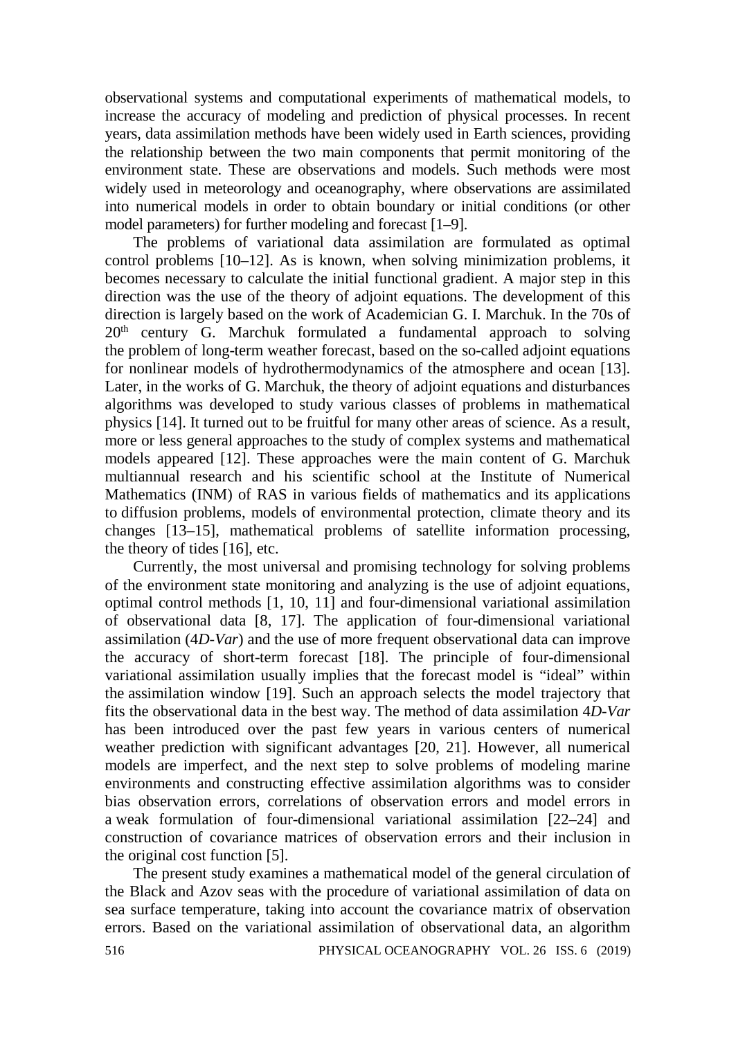observational systems and computational experiments of mathematical models, to increase the accuracy of modeling and prediction of physical processes. In recent years, data assimilation methods have been widely used in Earth sciences, providing the relationship between the two main components that permit monitoring of the environment state. These are observations and models. Such methods were most widely used in meteorology and oceanography, where observations are assimilated into numerical models in order to obtain boundary or initial conditions (or other model parameters) for further modeling and forecast [1–9].

The problems of variational data assimilation are formulated as optimal control problems [10–12]. As is known, when solving minimization problems, it becomes necessary to calculate the initial functional gradient. A major step in this direction was the use of the theory of adjoint equations. The development of this direction is largely based on the work of Academician G. I. Marchuk. In the 70s of  $20<sup>th</sup>$  century G. Marchuk formulated a fundamental approach to solving the problem of long-term weather forecast, based on the so-called adjoint equations for nonlinear models of hydrothermodynamics of the atmosphere and ocean [13]. Later, in the works of G. Marchuk, the theory of adjoint equations and disturbances algorithms was developed to study various classes of problems in mathematical physics [14]. It turned out to be fruitful for many other areas of science. As a result, more or less general approaches to the study of complex systems and mathematical models appeared [12]. These approaches were the main content of G. Marchuk multiannual research and his scientific school at the Institute of Numerical Mathematics (INM) of RAS in various fields of mathematics and its applications to diffusion problems, models of environmental protection, climate theory and its changes [13–15], mathematical problems of satellite information processing, the theory of tides [16], etc.

Currently, the most universal and promising technology for solving problems of the environment state monitoring and analyzing is the use of adjoint equations, optimal control methods [1, 10, 11] and four-dimensional variational assimilation of observational data [8, 17]. The application of four-dimensional variational assimilation (4*D-Var*) and the use of more frequent observational data can improve the accuracy of short-term forecast [18]. The principle of four-dimensional variational assimilation usually implies that the forecast model is "ideal" within the assimilation window [19]. Such an approach selects the model trajectory that fits the observational data in the best way. The method of data assimilation 4*D-Var* has been introduced over the past few years in various centers of numerical weather prediction with significant advantages [20, 21]. However, all numerical models are imperfect, and the next step to solve problems of modeling marine environments and constructing effective assimilation algorithms was to consider bias observation errors, correlations of observation errors and model errors in a weak formulation of four-dimensional variational assimilation [22–24] and construction of covariance matrices of observation errors and their inclusion in the original cost function [5].

The present study examines a mathematical model of the general circulation of the Black and Azov seas with the procedure of variational assimilation of data on sea surface temperature, taking into account the covariance matrix of observation errors. Based on the variational assimilation of observational data, an algorithm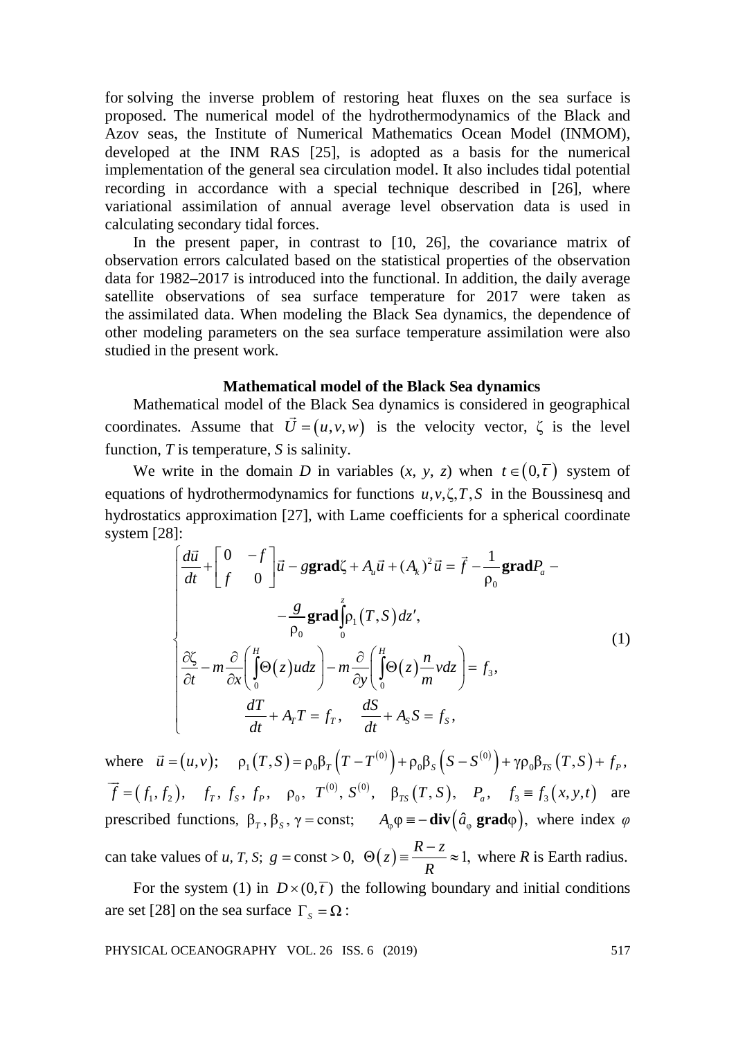for solving the inverse problem of restoring heat fluxes on the sea surface is proposed. The numerical model of the hydrothermodynamics of the Black and Azov seas, the Institute of Numerical Mathematics Ocean Model (INMOM), developed at the INM RAS [25], is adopted as a basis for the numerical implementation of the general sea circulation model. It also includes tidal potential recording in accordance with a special technique described in [26], where variational assimilation of annual average level observation data is used in calculating secondary tidal forces.

In the present paper, in contrast to [10, 26], the covariance matrix of observation errors calculated based on the statistical properties of the observation data for 1982–2017 is introduced into the functional. In addition, the daily average satellite observations of sea surface temperature for 2017 were taken as the assimilated data. When modeling the Black Sea dynamics, the dependence of other modeling parameters on the sea surface temperature assimilation were also studied in the present work.

#### **Mathematical model of the Black Sea dynamics**

Mathematical model of the Black Sea dynamics is considered in geographical coordinates. Assume that  $\vec{U} = (u, v, w)$  is the velocity vector,  $\zeta$  is the level function, *T* is temperature, *S* is salinity.

We write in the domain *D* in variables  $(x, y, z)$  when  $t \in (0, \overline{t})$  system of equations of hydrothermodynamics for functions  $u, v, \zeta, T, S$  in the Boussinesq and hydrostatics approximation [27], with Lame coefficients for a spherical coordinate system [28]:

$$
\begin{cases}\n\frac{d\vec{u}}{dt} + \begin{bmatrix} 0 & -f \\ f & 0 \end{bmatrix} \vec{u} - g\mathbf{grad}\zeta + A_u \vec{u} + (A_k)^2 \vec{u} = \vec{f} - \frac{1}{\rho_0} \mathbf{grad}P_a - \\
& -\frac{g}{\rho_0} \mathbf{grad} \int_0^z \rho_1(T, S) dz', \\
\frac{\partial \zeta}{\partial t} - m \frac{\partial}{\partial x} \left( \int_0^H \Theta(z) u dz \right) - m \frac{\partial}{\partial y} \left( \int_0^H \Theta(z) \frac{n}{m} v dz \right) = f_3, \\
& \frac{dT}{dt} + A_T T = f_T, \quad \frac{dS}{dt} + A_s S = f_s,\n\end{cases}
$$
\n(1)

where  $\vec{u} = (u, v);$   $\rho_1(T, S) = \rho_0 \beta_T (T - T^{(0)}) + \rho_0 \beta_S (S - S^{(0)}) + \gamma \rho_0 \beta_{TS} (T, S) + f_P,$  $\vec{f} = (f_1, f_2), \quad f_T, f_S, f_P, \quad \rho_0, T^{(0)}, S^{(0)}, \beta_{TS}(T, S), \quad P_a, \quad f_3 \equiv f_3(x, y, t)$  are prescribed functions,  $\beta_T$ ,  $\beta_S$ ,  $\gamma$  = const;  $A_{\varphi} \varphi = -\textbf{div}(\hat{a}_{\varphi} \textbf{grad} \varphi)$ , where index  $\varphi$ can take values of *u*, *T*, *S*;  $g = const > 0$ ,  $\Theta(z) = \frac{R - z}{R} \approx 1$ , *R*  $\equiv \frac{R-z}{R} \approx 1$ , where *R* is Earth radius.

For the system (1) in  $D \times (0,\bar{t})$  the following boundary and initial conditions are set [28] on the sea surface  $\Gamma_s = \Omega$ :

PHYSICAL OCEANOGRAPHY VOL. 26 ISS. 6 (2019) 517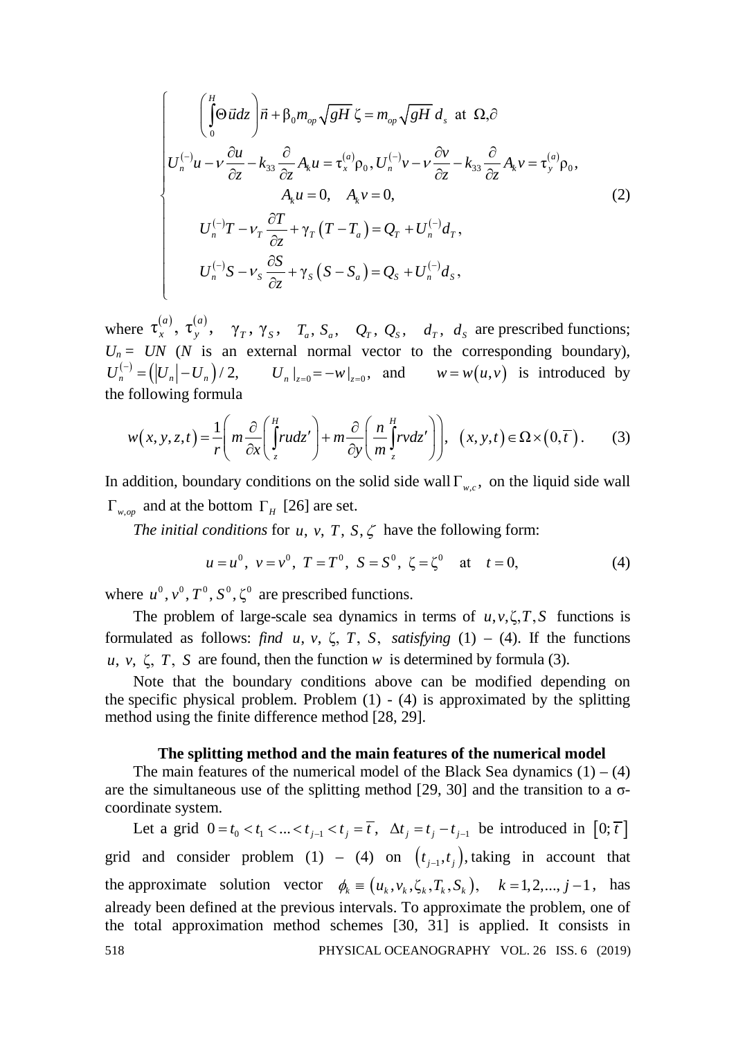$$
\begin{cases}\n\int_{0}^{H} \Theta \, \vec{u} dz \bigg) \vec{n} + \beta_{0} m_{op} \sqrt{gH} \, \zeta = m_{op} \sqrt{gH} \, d_{s} \text{ at } \Omega, \partial \\
U_{n}^{(-)} u - \nu \frac{\partial u}{\partial z} - k_{33} \frac{\partial}{\partial z} A_{k} u = \tau_{x}^{(a)} \rho_{0}, U_{n}^{(-)} v - \nu \frac{\partial v}{\partial z} - k_{33} \frac{\partial}{\partial z} A_{k} v = \tau_{y}^{(a)} \rho_{0}, \\
A_{k} u = 0, \quad A_{k} v = 0,\n\end{cases}
$$
\n
$$
U_{n}^{(-)} T - v_{T} \frac{\partial T}{\partial z} + \gamma_{T} (T - T_{a}) = Q_{T} + U_{n}^{(-)} d_{T},
$$
\n
$$
U_{n}^{(-)} S - v_{S} \frac{\partial S}{\partial z} + \gamma_{S} (S - S_{a}) = Q_{S} + U_{n}^{(-)} d_{S},
$$
\n(2)

where  $\tau_x^{(a)}$ ,  $\tau_y^{(a)}$ ,  $\gamma_T$ ,  $\gamma_s$ ,  $T_a$ ,  $S_a$ ,  $Q_T$ ,  $Q_s$ ,  $d_T$ ,  $d_S$  are prescribed functions;  $U_n = UN (N \text{ is an external normal vector to the corresponding boundary}),$  $U_n^{(-)} = ( |U_n| - U_n ) / 2,$   $U_n |_{z=0} = -w |_{z=0},$  and  $w = w(u, v)$  is introduced by the following formula

$$
w(x, y, z, t) = \frac{1}{r} \left( m \frac{\partial}{\partial x} \left( \int_z^H r u dz' \right) + m \frac{\partial}{\partial y} \left( \frac{n}{m} \int_z^H r v dz' \right) \right), \quad (x, y, t) \in \Omega \times (0, \overline{t}). \tag{3}
$$

In addition, boundary conditions on the solid side wall  $\Gamma_{w,c}$ , on the liquid side wall Γ<sub>*w*, *op*</sub> and at the bottom Γ<sub>*H*</sub> [26] are set.

*The initial conditions* for *u*, *v*, *T*, *S*,  $\zeta$  have the following form:

$$
u = u^0
$$
,  $v = v^0$ ,  $T = T^0$ ,  $S = S^0$ ,  $\zeta = \zeta^0$  at  $t = 0$ , (4)

where  $u^0$ ,  $v^0$ ,  $T^0$ ,  $S^0$ ,  $\zeta^0$  are prescribed functions.

The problem of large-scale sea dynamics in terms of  $u, v, \zeta, T, S$  functions is formulated as follows: *find u*, *v*,  $\zeta$ , *T*, *S*, *satisfying* (1) – (4). If the functions  $u, v, \zeta, T, S$  are found, then the function *w* is determined by formula (3).

Note that the boundary conditions above can be modified depending on the specific physical problem. Problem (1) - (4) is approximated by the splitting method using the finite difference method [28, 29].

#### **The splitting method and the main features of the numerical model**

The main features of the numerical model of the Black Sea dynamics  $(1) - (4)$ are the simultaneous use of the splitting method  $[29, 30]$  and the transition to a  $\sigma$ coordinate system.

Let a grid  $0 = t_0 < t_1 < \ldots < t_{i-1} < t_i = \overline{t}$ ,  $\Delta t_i = t_i - t_{i-1}$  be introduced in  $[0; \overline{t}]$ grid and consider problem (1) – (4) on  $(t_{i-1}, t_i)$ , taking in account that the approximate solution vector  $\phi_k = (u_k, v_k, \zeta_k, T_k, S_k), \quad k = 1, 2, ..., j - 1$ , has already been defined at the previous intervals. To approximate the problem, one of the total approximation method schemes [30, 31] is applied. It consists in 518 PHYSICAL OCEANOGRAPHY VOL. 26 ISS. 6 (2019)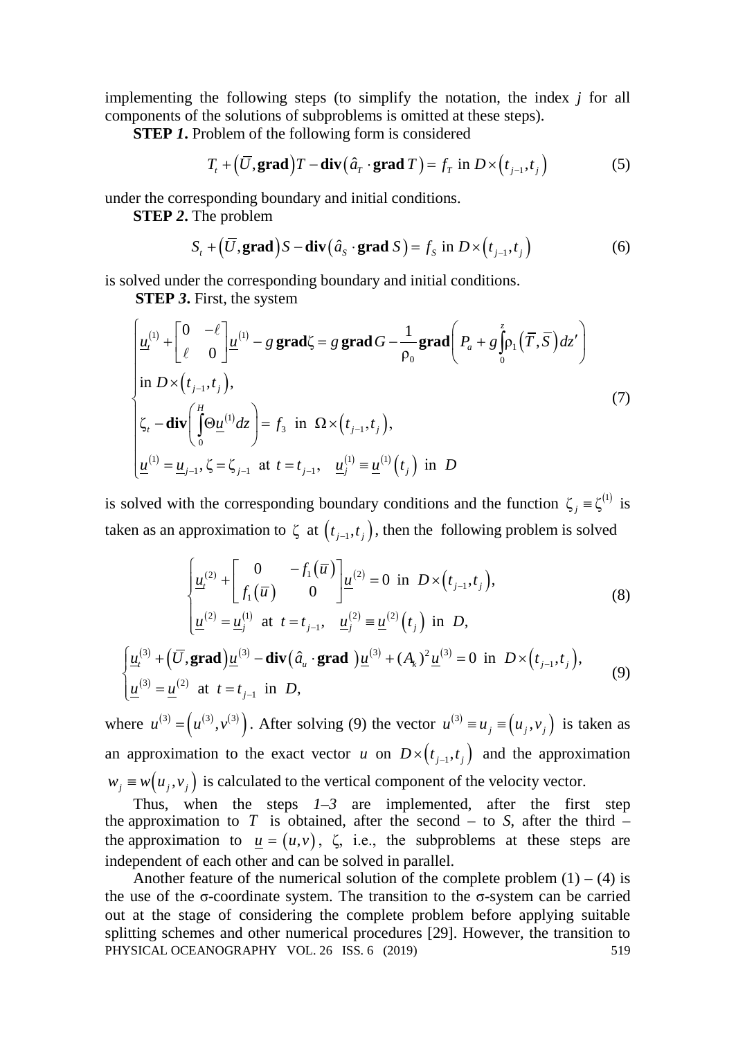implementing the following steps (to simplify the notation, the index *j* for all components of the solutions of subproblems is omitted at these steps).

**STEP 1.** Problem of the following form is considered

$$
T_t + (\overline{U}, \mathbf{grad})T - \mathbf{div}(\hat{a}_T \cdot \mathbf{grad} T) = f_T \text{ in } D \times (t_{j-1}, t_j)
$$
(5)

under the corresponding boundary and initial conditions.

**STEP** *2***.** The problem

$$
S_t + (\overline{U}, \textbf{grad})S - \textbf{div}(\hat{a}_S \cdot \textbf{grad } S) = f_S \text{ in } D \times (t_{j-1}, t_j)
$$
(6)

is solved under the corresponding boundary and initial conditions.

**STEP** *3***.** First, the system

$$
\begin{cases}\n\underline{u}_{i}^{(1)} + \begin{bmatrix}\n0 & -\ell \\
\ell & 0\n\end{bmatrix}\underline{u}^{(1)} - g \operatorname{\mathbf{grad}} \zeta = g \operatorname{\mathbf{grad}} G - \frac{1}{\rho_{0}} \operatorname{\mathbf{grad}} \left(P_{a} + g \int_{0}^{\tilde{z}} \rho_{1}(\overline{T}, \overline{S}) dz'\right) \\
\text{in } D \times (t_{j-1}, t_{j}), \\
\zeta_{t} - \operatorname{\mathbf{div}} \left(\int_{0}^{H} \Theta \underline{u}^{(1)} dz\right) = f_{3} \quad \text{in } \Omega \times (t_{j-1}, t_{j}), \\
\underline{u}^{(1)} = \underline{u}_{j-1}, \zeta = \zeta_{j-1} \quad \text{at } t = t_{j-1}, \quad \underline{u}_{j}^{(1)} = \underline{u}^{(1)}(t_{j}) \quad \text{in } D\n\end{cases} (7)
$$

is solved with the corresponding boundary conditions and the function  $\zeta_i = \zeta^{(1)}$  is taken as an approximation to  $\zeta$  at  $(t_{i-1}, t_i)$ , then the following problem is solved

$$
\begin{cases}\n\underline{u}_{i}^{(2)} + \begin{bmatrix}\n0 & -f_{1}(\overline{u}) \\
f_{1}(\overline{u}) & 0\n\end{bmatrix} \underline{u}^{(2)} = 0 \text{ in } D \times (t_{j-1}, t_{j}), \\
\underline{u}^{(2)} = \underline{u}_{j}^{(1)} \text{ at } t = t_{j-1}, \quad \underline{u}_{j}^{(2)} = \underline{u}^{(2)}(t_{j}) \text{ in } D, \\
\underline{u}^{(3)} + (\overline{U}, \text{grad}) \underline{u}^{(3)} - \text{div}(\hat{a}_{u} \cdot \text{grad}) \underline{u}^{(3)} + (A_{k})^{2} \underline{u}^{(3)} = 0 \text{ in } D \times (t_{j-1}, t_{j}), \\
\underline{u}^{(3)} = \underline{u}^{(2)} \text{ at } t = t_{j-1} \text{ in } D,\n\end{cases}
$$
\n(9)

where  $u^{(3)} = (u^{(3)}, v^{(3)})$ . After solving (9) the vector  $u^{(3)} = u_j \equiv (u_j, v_j)$  is taken as an approximation to the exact vector *u* on  $D\times (t_{j-1}, t_j)$  and the approximation  $w_i \equiv w(u_i, v_i)$  is calculated to the vertical component of the velocity vector.

Thus, when the steps  $1-3$  are implemented, after the first step the approximation to  $T$  is obtained, after the second – to  $S$ , after the third – the approximation to  $u = (u, v)$ ,  $\zeta$ , i.e., the subproblems at these steps are independent of each other and can be solved in parallel.

Another feature of the numerical solution of the complete problem  $(1) - (4)$  is the use of the  $\sigma$ -coordinate system. The transition to the  $\sigma$ -system can be carried out at the stage of considering the complete problem before applying suitable splitting schemes and other numerical procedures [29]. However, the transition to PHYSICAL OCEANOGRAPHY VOL. 26 ISS. 6 (2019) 519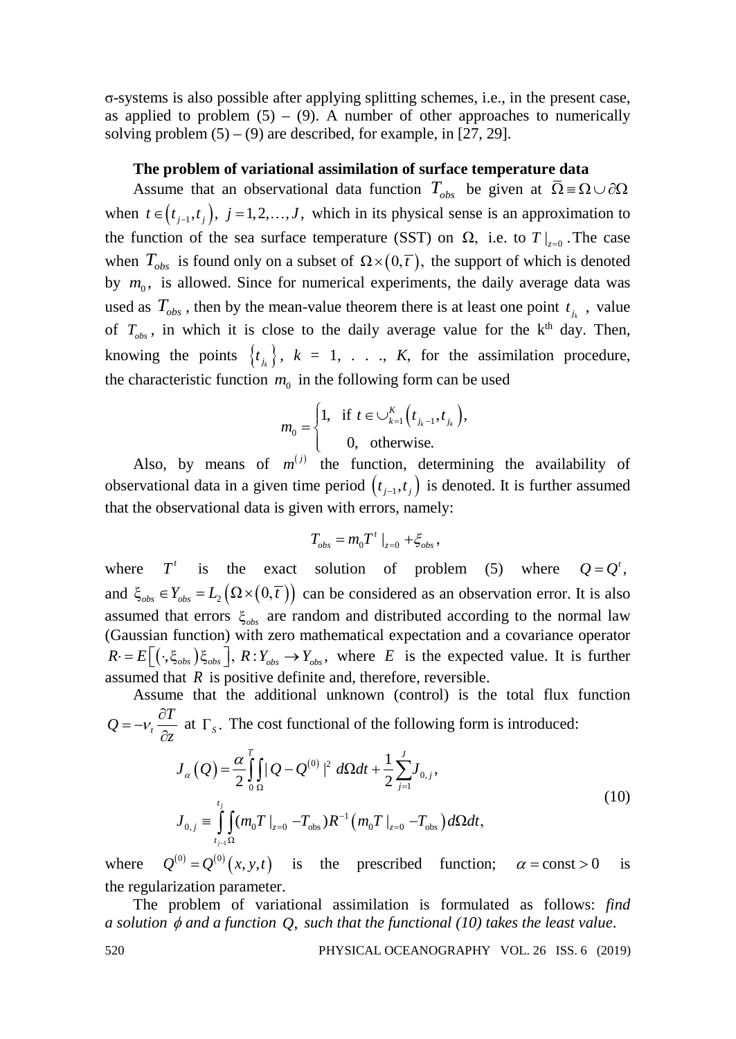σ-systems is also possible after applying splitting schemes, i.e., in the present case, as applied to problem  $(5) - (9)$ . A number of other approaches to numerically solving problem  $(5) - (9)$  are described, for example, in [27, 29].

#### **The problem of variational assimilation of surface temperature data**

Assume that an observational data function  $T_{obs}$  be given at  $\overline{\Omega} = \Omega \cup \partial \Omega$ when  $t \in (t_{i-1}, t_i)$ ,  $j = 1, 2, ..., J$ , which in its physical sense is an approximation to the function of the sea surface temperature (SST) on Ω, i.e. to  $T \big|_{z=0}$ . The case when  $T_{obs}$  is found only on a subset of  $\Omega \times (0,\bar{t})$ , the support of which is denoted by  $m_0$ , is allowed. Since for numerical experiments, the daily average data was used as  $T_{obs}$ , then by the mean-value theorem there is at least one point  $t_{i}$ , value of  $T_{obs}$ , in which it is close to the daily average value for the k<sup>th</sup> day. Then, knowing the points  $\{t_{j_k}\}\$ ,  $k = 1, \ldots, K$ , for the assimilation procedure, the characteristic function  $m_0$  in the following form can be used

$$
m_0 = \begin{cases} 1, & \text{if } t \in \bigcup_{k=1}^K \left( t_{j_k - 1}, t_{j_k} \right), \\ 0, & \text{otherwise.} \end{cases}
$$

Also, by means of  $m^{(j)}$  the function, determining the availability of observational data in a given time period  $(t_{i-1}, t_i)$  is denoted. It is further assumed that the observational data is given with errors, namely:

$$
T_{obs}=m_0T^t\mid_{z=0}+\xi_{obs},
$$

where  $T^t$  is the exact solution of problem (5) where  $Q = Q^t$ , and  $\xi_{obs} \in Y_{obs} = L_2(\Omega \times (0, \overline{t}))$  can be considered as an observation error. It is also assumed that errors ξ*obs* are random and distributed according to the normal law (Gaussian function) with zero mathematical expectation and a covariance operator  $R = E[(\cdot, \xi_{obs})\xi_{obs}], R: Y_{obs} \rightarrow Y_{obs}$ , where *E* is the expected value. It is further assumed that  $R$  is positive definite and, therefore, reversible.

Assume that the additional unknown (control) is the total flux function  $Q = -V_t \frac{\partial T}{\partial z}$ <sup>- $V_t$ </sup>  $\frac{\partial z}{\partial z}$  $= -v_t \frac{\partial T}{\partial z}$  at  $\Gamma_s$ . The cost functional of the following form is introduced:  $Q = \frac{\alpha}{2} \int_{0}^{1} |Q - Q^{(0)}|^2 d\Omega dt + \frac{1}{2} \sum_{j=1}^{n} J_{0,j}$  $\mathcal{L}_{0,j} \equiv \; \int \left[ \left( m^{}_{0} T \, \right|_{z=0} - T^{}_{\mathrm{obs}} \right) \! R^{-1} \! \left( m^{}_{0} T \, \right|_{z=0} - T^{}_{\mathrm{obs}} \, \right)$ 1 Ω  $|Q - Q^{(0)}|^2 d\Omega dt + \frac{1}{2}$  $2 \frac{1}{2}$   $0 \frac{1}{2}$   $2 \frac{1}{2}$  $\int_{0}^{t_{j}} \left[ (m_{0} T \big|_{z=0} - T_{obs}) R^{-1} (m_{0} T \big|_{z=0} - T_{obs}) d\Omega dt, \right]$  $\sum_{0}^{J}$ *j*  $\sum_{j=1}^{J}$  0, *j*  $j = \int_0^1 (1/\mu_0 I) \, dz = 0$   $\mu_0 I$   $\mu_0 I$   $\mu_0 I$ *t t*  $J_{a}(Q) = \frac{\alpha}{2} |||Q - Q^{(0)}||^{2} d\Omega dt + \frac{1}{2} \sum J$  $J_{0,j}$  ≡  $\int$   $\int$  (*m*<sub>0</sub>*T*  $|_{z=0}$  −*T*<sub>obs</sub></sub>)*R*<sup>-1</sup> (*m*<sub>0</sub>*T*  $|_{z=0}$  −*T*<sub>obs</sub>)*d*Ω*dt* α − =  $=\frac{\alpha}{2}\int\int|Q-Q^{(0)}|^2 d\Omega dt+\frac{1}{2}\sum$ (10)

where  $Q^{(0)} = Q^{(0)}(x, y, t)$  is the prescribed function;  $\alpha = const > 0$  is the regularization parameter.

The problem of variational assimilation is formulated as follows: *find a solution* φ *and a function Q*, *such that the functional (10) takes the least value*.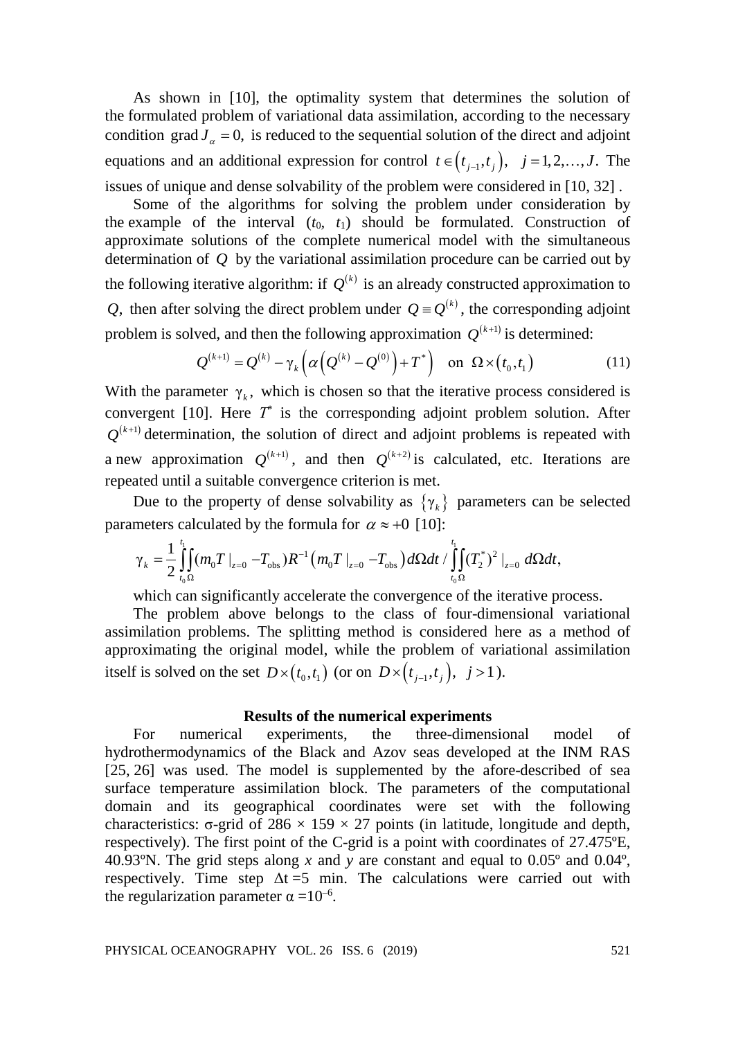As shown in [10], the optimality system that determines the solution of the formulated problem of variational data assimilation, according to the necessary condition grad  $J_a = 0$ , is reduced to the sequential solution of the direct and adjoint equations and an additional expression for control  $t \in (t_{j-1}, t_j)$ ,  $j = 1, 2, ..., J$ . The issues of unique and dense solvability of the problem were considered in [10, 32] .

Some of the algorithms for solving the problem under consideration by the example of the interval  $(t_0, t_1)$  should be formulated. Construction of approximate solutions of the complete numerical model with the simultaneous determination of *Q* by the variational assimilation procedure can be carried out by the following iterative algorithm: if  $Q^{(k)}$  is an already constructed approximation to *Q*, then after solving the direct problem under  $Q = Q^{(k)}$ , the corresponding adjoint problem is solved, and then the following approximation  $Q^{(k+1)}$  is determined:

$$
Q^{(k+1)} = Q^{(k)} - \gamma_k \left( \alpha \left( Q^{(k)} - Q^{(0)} \right) + T^* \right) \quad \text{on} \quad \Omega \times (t_0, t_1) \tag{11}
$$

With the parameter  $\gamma_k$ , which is chosen so that the iterative process considered is convergent [10]. Here *Т*\* is the corresponding adjoint problem solution. After  $Q^{(k+1)}$  determination, the solution of direct and adjoint problems is repeated with a new approximation  $Q^{(k+1)}$ , and then  $Q^{(k+2)}$  is calculated, etc. Iterations are repeated until a suitable convergence criterion is met.

Due to the property of dense solvability as  $\{\gamma_k\}$  parameters can be selected parameters calculated by the formula for  $\alpha \approx +0$  [10]:

$$
\gamma_{k} = \frac{1}{2} \int_{t_{0} \Omega}^{t_{1}} (m_{0} T \big|_{z=0} - T_{obs}) R^{-1} (m_{0} T \big|_{z=0} - T_{obs}) d\Omega dt / \int_{t_{0} \Omega}^{t_{1}} (T_{2}^{*})^{2} \big|_{z=0} d\Omega dt,
$$

which can significantly accelerate the convergence of the iterative process.

The problem above belongs to the class of four-dimensional variational assimilation problems. The splitting method is considered here as a method of approximating the original model, while the problem of variational assimilation itself is solved on the set  $D \times (t_0, t_1)$  (or on  $D \times (t_{i-1}, t_i)$ ,  $j > 1$ ).

## **Results of the numerical experiments**

For numerical experiments, the three-dimensional model of hydrothermodynamics of the Black and Azov seas developed at the INM RAS [25, 26] was used. The model is supplemented by the afore-described of sea surface temperature assimilation block. The parameters of the computational domain and its geographical coordinates were set with the following characteristics: σ-grid of  $286 \times 159 \times 27$  points (in latitude, longitude and depth, respectively). The first point of the C-grid is a point with coordinates of 27.475ºE, 40.93ºN. The grid steps along *x* and *y* are constant and equal to 0.05º and 0.04º, respectively. Time step  $\Delta t = 5$  min. The calculations were carried out with the regularization parameter  $\alpha = 10^{-6}$ .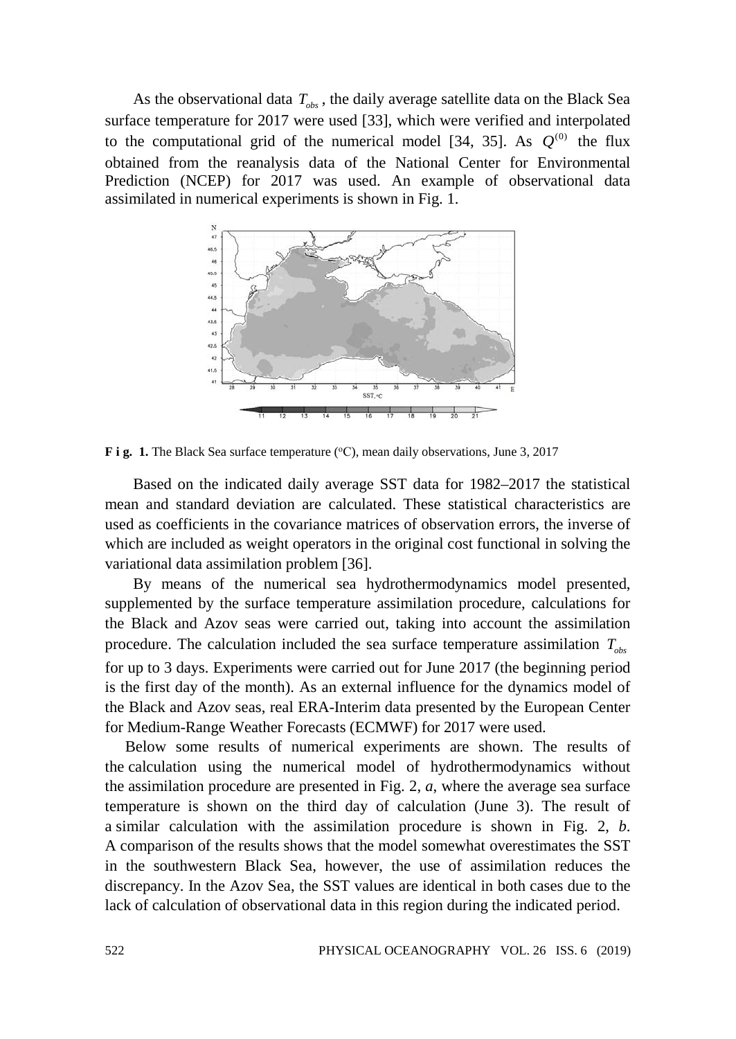As the observational data  $T_{obs}$ , the daily average satellite data on the Black Sea surface temperature for 2017 were used [33], which were verified and interpolated to the computational grid of the numerical model [34, 35]. As  $Q^{(0)}$  the flux obtained from the reanalysis data of the National Center for Environmental Prediction (NCEP) for 2017 was used. An example of observational data assimilated in numerical experiments is shown in Fig. 1.



**F** i **g.** 1. The Black Sea surface temperature (°C), mean daily observations, June 3, 2017

Based on the indicated daily average SST data for 1982–2017 the statistical mean and standard deviation are calculated. These statistical characteristics are used as coefficients in the covariance matrices of observation errors, the inverse of which are included as weight operators in the original cost functional in solving the variational data assimilation problem [36].

By means of the numerical sea hydrothermodynamics model presented, supplemented by the surface temperature assimilation procedure, calculations for the Black and Azov seas were carried out, taking into account the assimilation procedure. The calculation included the sea surface temperature assimilation  $T_{obs}$ for up to 3 days. Experiments were carried out for June 2017 (the beginning period is the first day of the month). As an external influence for the dynamics model of the Black and Azov seas, real ERA-Interim data presented by the European Center for Medium-Range Weather Forecasts (ECMWF) for 2017 were used.

Below some results of numerical experiments are shown. The results of the calculation using the numerical model of hydrothermodynamics without the assimilation procedure are presented in Fig. 2, *a*, where the average sea surface temperature is shown on the third day of calculation (June 3). The result of a similar calculation with the assimilation procedure is shown in Fig. 2, *b*. A comparison of the results shows that the model somewhat overestimates the SST in the southwestern Black Sea, however, the use of assimilation reduces the discrepancy. In the Azov Sea, the SST values are identical in both cases due to the lack of calculation of observational data in this region during the indicated period.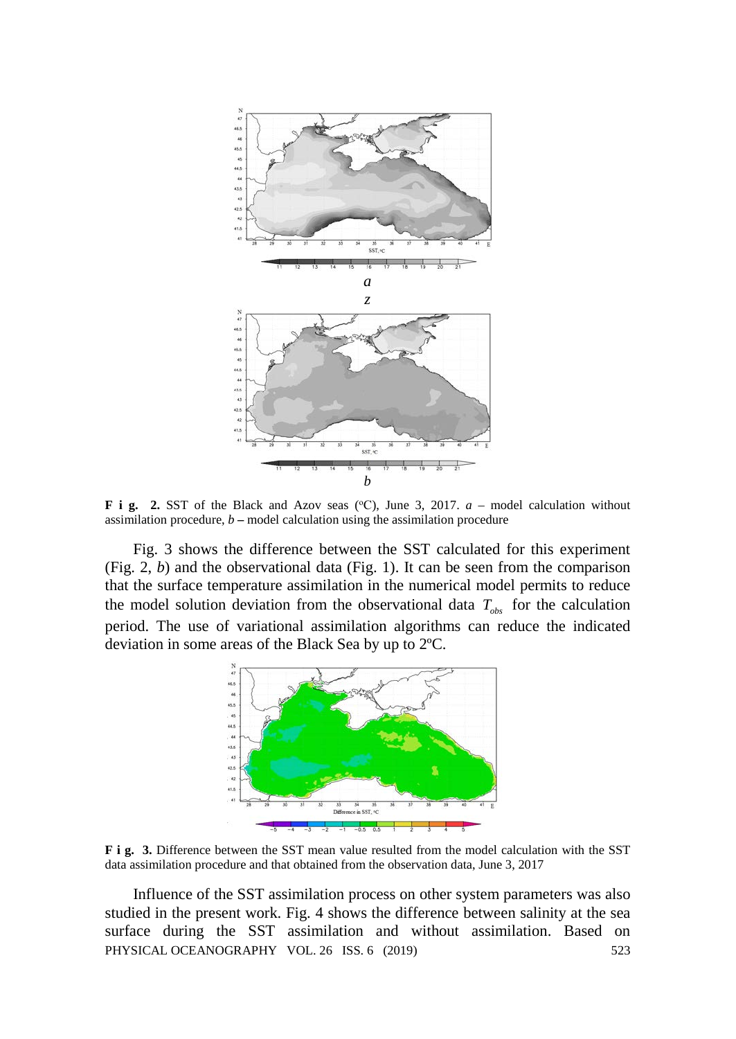

**F** i **g.** 2. SST of the Black and Azov seas (°C), June 3, 2017.  $a$  – model calculation without assimilation procedure, *b* **–** model calculation using the assimilation procedure

Fig. 3 shows the difference between the SST calculated for this experiment (Fig. 2, *b*) and the observational data (Fig. 1). It can be seen from the comparison that the surface temperature assimilation in the numerical model permits to reduce the model solution deviation from the observational data  $T_{obs}$  for the calculation period. The use of variational assimilation algorithms can reduce the indicated deviation in some areas of the Black Sea by up to 2ºC.



**F i g. 3.** Difference between the SST mean value resulted from the model calculation with the SST data assimilation procedure and that obtained from the observation data, June 3, 2017

Influence of the SST assimilation process on other system parameters was also studied in the present work. Fig. 4 shows the difference between salinity at the sea surface during the SST assimilation and without assimilation. Based on PHYSICAL OCEANOGRAPHY VOL. 26 ISS. 6 (2019) 523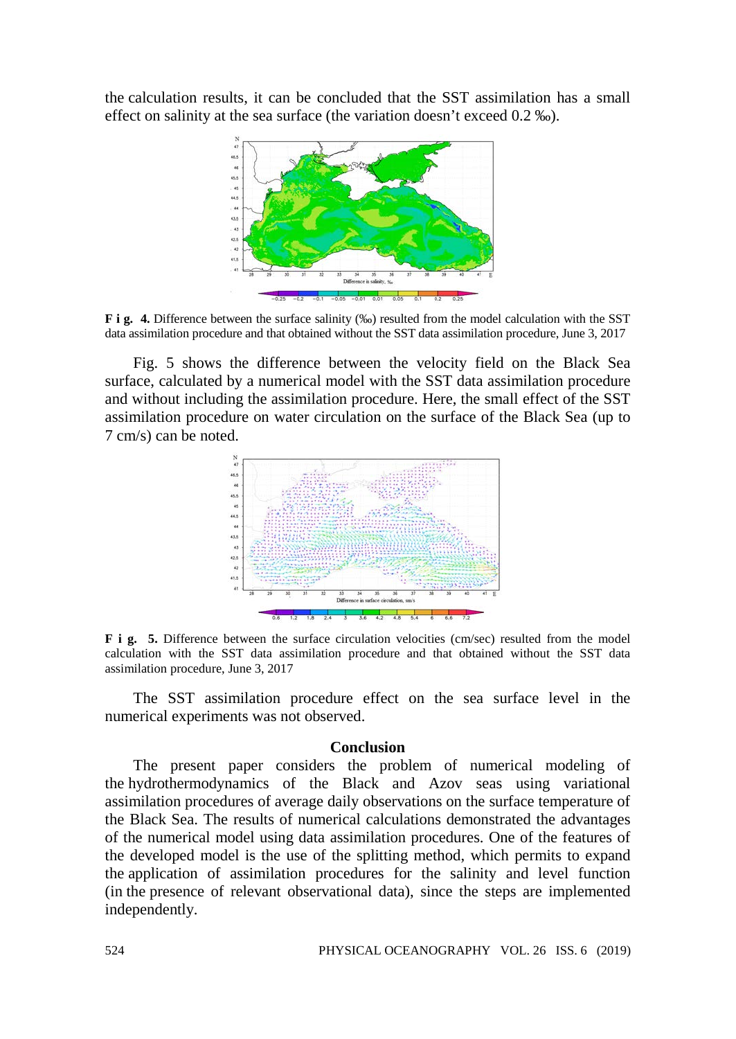the calculation results, it can be concluded that the SST assimilation has a small effect on salinity at the sea surface (the variation doesn't exceed 0.2 ‰).



**F i g. 4.** Difference between the surface salinity (‰) resulted from the model calculation with the SST data assimilation procedure and that obtained without the SST data assimilation procedure, June 3, 2017

Fig. 5 shows the difference between the velocity field on the Black Sea surface, calculated by a numerical model with the SST data assimilation procedure and without including the assimilation procedure. Here, the small effect of the SST assimilation procedure on water circulation on the surface of the Black Sea (up to 7 cm/s) can be noted.



**F i g. 5.** Difference between the surface circulation velocities (cm/sec) resulted from the model calculation with the SST data assimilation procedure and that obtained without the SST data assimilation procedure, June 3, 2017

The SST assimilation procedure effect on the sea surface level in the numerical experiments was not observed.

#### **Conclusion**

The present paper considers the problem of numerical modeling of the hydrothermodynamics of the Black and Azov seas using variational assimilation procedures of average daily observations on the surface temperature of the Black Sea. The results of numerical calculations demonstrated the advantages of the numerical model using data assimilation procedures. One of the features of the developed model is the use of the splitting method, which permits to expand the application of assimilation procedures for the salinity and level function (in the presence of relevant observational data), since the steps are implemented independently.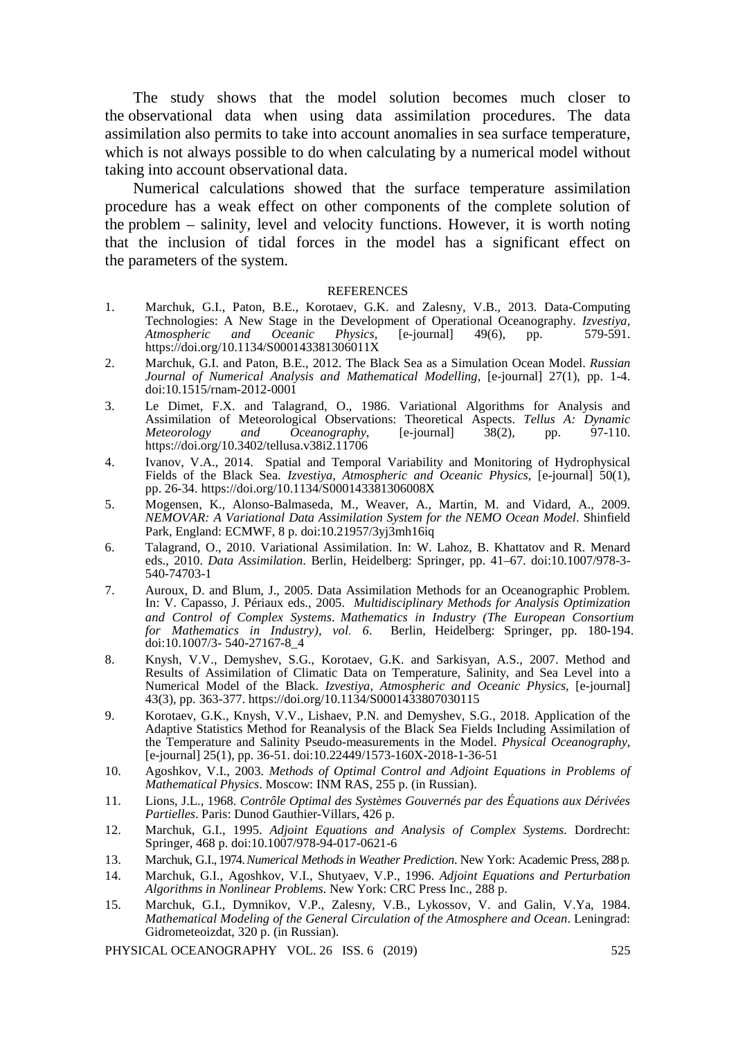The study shows that the model solution becomes much closer to the observational data when using data assimilation procedures. The data assimilation also permits to take into account anomalies in sea surface temperature, which is not always possible to do when calculating by a numerical model without taking into account observational data.

Numerical calculations showed that the surface temperature assimilation procedure has a weak effect on other components of the complete solution of the problem – salinity, level and velocity functions. However, it is worth noting that the inclusion of tidal forces in the model has a significant effect on the parameters of the system.

#### **REFERENCES**

- 1. Marchuk, G.I., Paton, B.E., Korotaev, G.K. and Zalesny, V.B., 2013. Data-Computing Technologies: A New Stage in the Development of Operational Oceanography. *Izvestiya,* [e-journal] https://doi.org/10.1134/S000143381306011X
- 2. Marchuk, G.I. and Paton, B.E., 2012. The Black Sea as a Simulation Ocean Model. *Russian Journal of Numerical Analysis and Mathematical Modelling*, [e-journal] 27(1), pp. 1-4. doi:10.1515/rnam-2012-0001
- 3. Le Dimet, F.X. and Talagrand, O., 1986. Variational Algorithms for Analysis and Assimilation of Meteorological Observations: Theoretical Aspects. *Tellus A: Dynamic Oceanography*, https://doi.org/10.3402/tellusa.v38i2.11706
- 4. Ivanov, V.A., 2014. Spatial and Temporal Variability and Monitoring of Hydrophysical Fields of the Black Sea. *Izvestiya, Atmospheric and Oceanic Physics*, [e-journal] 50(1), pp. 26-34. https://doi.org/10.1134/S000143381306008X
- 5. Mogensen, K., Alonso-Balmaseda, M., Weaver, A., Martin, M. and Vidard, A., 2009. *NEMOVAR: A Variational Data Assimilation System for the NEMO Ocean Model*. Shinfield Park, England: ECMWF, 8 p. doi:10.21957/3yj3mh16iq
- 6. Talagrand, O., 2010. Variational Assimilation. In: W. Lahoz, B. Khattatov and R. Menard eds., 2010. *Data Assimilation*. Berlin, Heidelberg: Springer, pp. 41–67. doi:10.1007/978-3- 540-74703-1
- 7. Auroux, D. and Blum, J., 2005. Data Assimilation Methods for an Oceanographic Problem. In: V. Capasso, J. Périaux eds., 2005. *Multidisciplinary Methods for Analysis Optimization and Control of Complex Systems*. *Mathematics in Industry (The European Consortium Berlin, Heidelberg: Springer, pp. 180-194.* doi:10.1007/3- 540-27167-8\_4
- 8. Knysh, V.V., Demyshev, S.G., Korotaev, G.K. and Sarkisyan, A.S., 2007. Method and Results of Assimilation of Climatic Data on Temperature, Salinity, and Sea Level into a Numerical Model of the Black. *Izvestiya, Atmospheric and Oceanic Physics,* [e-journal] 43(3), pp. 363-377. https://doi.org/10.1134/S0001433807030115
- 9. Korotaev, G.K., Knysh, V.V., Lishaev, P.N. and Demyshev, S.G., 2018. Application of the Adaptive Statistics Method for Reanalysis of the Black Sea Fields Including Assimilation of the Temperature and Salinity Pseudo-measurements in the Model. *Physical Oceanography*, [e-journal] 25(1), pp. 36-51. doi:10.22449/1573-160X-2018-1-36-51
- 10. Agoshkov, V.I., 2003. *Methods of Optimal Control and Adjoint Equations in Problems of Mathematical Physics*. Moscow: INM RAS, 255 p. (in Russian).
- 11. Lions, J.L., 1968. *Contrôle Optimal des Systèmes Gouvernés par des Équations aux Dérivées Partielles*. Paris: Dunod Gauthier-Villars, 426 p.
- 12. Marchuk, G.I., 1995. *Adjoint Equations and Analysis of Complex Systems*. Dordrecht: Springer, 468 p. doi:10.1007/978-94-017-0621-6
- 13. Marchuk, G.I., 1974. *Numerical Methods in Weather Prediction*. New York: Academic Press, 288 p.
- 14. Marchuk, G.I., Agoshkov, V.I., Shutyaev, V.P., 1996. *Adjoint Equations and Perturbation Algorithms in Nonlinear Problems*. New York: CRC Press Inc., 288 p.
- 15. Marchuk, G.I., Dymnikov, V.P., Zalesny, V.B., Lykossov, V. and Galin, V.Ya, 1984. *Mathematical Modeling of the General Circulation of the Atmosphere and Ocean*. Leningrad: Gidrometeoizdat, 320 p. (in Russian).

PHYSICAL OCEANOGRAPHY VOL. 26 ISS. 6 (2019) 525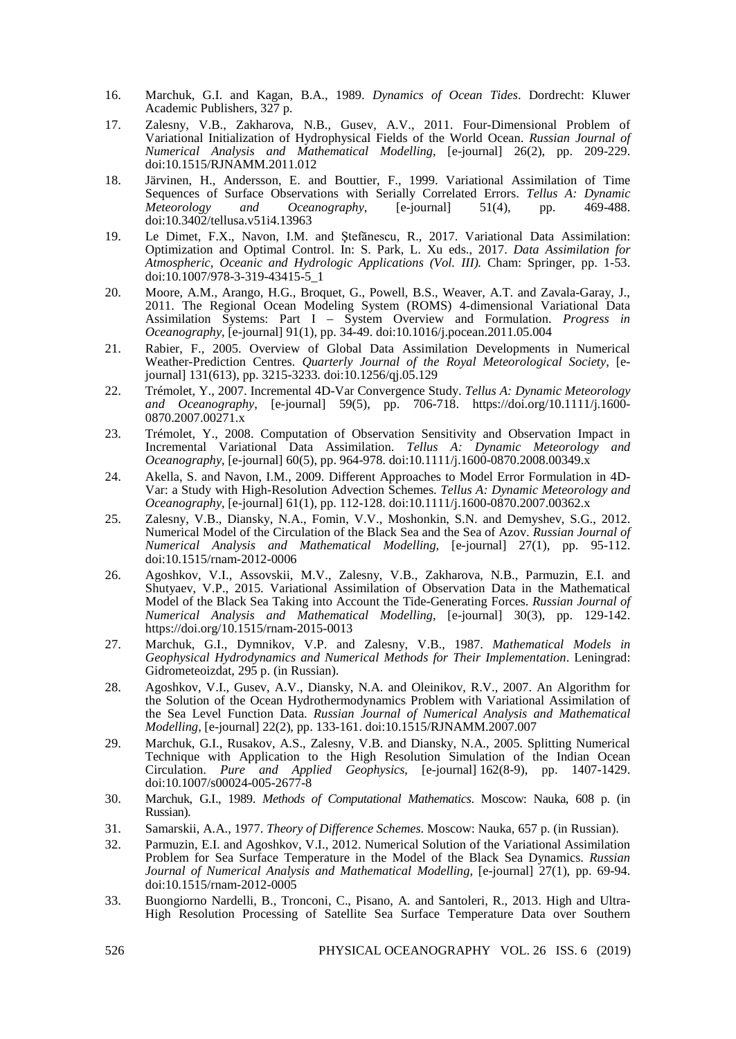- 16. Marchuk, G.I. and Kagan, B.A., 1989. *Dynamics of Ocean Tides*. Dordrecht: Kluwer Academic Publishers, 327 p.
- 17. Zalesny, V.B., Zakharova, N.B., Gusev, A.V., 2011. Four-Dimensional Problem of Variational Initialization of Hydrophysical Fields of the World Ocean. *Russian Journal of Numerical Analysis and Mathematical Modelling,* [e-journal] 26(2), pp. 209-229. doi:10.1515/RJNAMM.2011.012
- 18. Järvinen, H., Andersson, E. and Bouttier, F., 1999. Variational Assimilation of Time Sequences of Surface Observations with Serially Correlated Errors. *Tellus A: Dynamic Oceanography*, [e-journal] 51(4), pp. doi:10.3402/tellusa.v51i4.13963
- 19. Le Dimet, F.X., Navon, I.M. and Ştefănescu, R., 2017. Variational Data Assimilation: Optimization and Optimal Control. In: S. Park, L. Xu eds., 2017. *Data Assimilation for Atmospheric, Oceanic and Hydrologic Applications (Vol. III).* Cham: Springer, pp. 1-53. doi:10.1007/978-3-319-43415-5\_1
- 20. Moore, A.M., Arango, H.G., Broquet, G., Powell, B.S., Weaver, A.T. and Zavala-Garay, J., 2011. The Regional Ocean Modeling System (ROMS) 4-dimensional Variational Data Assimilation Systems: Part I – System Overview and Formulation. *Progress in Oceanography*, [e-journal] 91(1), pp. 34-49. doi:10.1016/j.pocean.2011.05.004
- 21. Rabier, F., 2005. Overview of Global Data Assimilation Developments in Numerical Weather-Prediction Centres. *Quarterly Journal of the Royal Meteorological Society*, [ejournal] 131(613), pp. 3215-3233. doi:10.1256/qj.05.129
- 22. Trémolet, Y., 2007. Incremental 4D-Var Convergence Study. *Tellus A: Dynamic Meteorology and Oceanography*, [e-journal] 59(5), pp. 706-718. https://doi.org/10.1111/j.1600- 0870.2007.00271.x
- 23. Trémolet, Y., 2008. Computation of Observation Sensitivity and Observation Impact in Incremental Variational Data Assimilation. *Tellus A: Dynamic Meteorology and Oceanography*, [e-journal] 60(5), pp. 964-978. doi:10.1111/j.1600-0870.2008.00349.x
- 24. Akella, S. and Navon, I.M., 2009. Different Approaches to Model Error Formulation in 4D-Var: a Study with High-Resolution Advection Schemes. *Tellus A: Dynamic Meteorology and Oceanography*, [e-journal] 61(1), pp. 112-128. doi:10.1111/j.1600-0870.2007.00362.x
- 25. Zalesny, V.B., Diansky, N.A., Fomin, V.V., Moshonkin, S.N. and Demyshev, S.G., 2012. Numerical Model of the Circulation of the Black Sea and the Sea of Azov. *Russian Journal of Numerical Analysis and Mathematical Modelling,* [e-journal] 27(1), pp. 95-112. doi:10.1515/rnam-2012-0006
- 26. Agoshkov, V.I., Assovskii, M.V., Zalesny, V.B., Zakharova, N.B., Parmuzin, E.I. and Shutyaev, V.P., 2015. Variational Assimilation of Observation Data in the Mathematical Model of the Black Sea Taking into Account the Tide-Generating Forces. *Russian Journal of Numerical Analysis and Mathematical Modelling*, [e-journal] 30(3), pp. 129-142. https://doi.org/10.1515/rnam-2015-0013
- 27. Marchuk, G.I., Dymnikov, V.P. and Zalesny, V.B., 1987. *Mathematical Models in Geophysical Hydrodynamics and Numerical Methods for Their Implementation*. Leningrad: Gidrometeoizdat, 295 p. (in Russian).
- 28. Agoshkov, V.I., Gusev, A.V., Diansky, N.A. and Oleinikov, R.V., 2007. An Algorithm for the Solution of the Ocean Hydrothermodynamics Problem with Variational Assimilation of the Sea Level Function Data. *Russian Journal of Numerical Analysis and Mathematical Modelling*, [e-journal] 22(2), pp. 133-161. doi:10.1515/RJNAMM.2007.007
- 29. Marchuk, G.I., Rusakov, A.S., Zalesny, V.B. and Diansky, N.A., 2005. Splitting Numerical Technique with Application to the High Resolution Simulation of the Indian Ocean Circulation. *Pure and Applied Geophysics*, [e-journal] 162(8-9), pp. 1407-1429. doi:10.1007/s00024-005-2677-8
- 30. Marchuk, G.I., 1989. *Methods of Computational Mathematics*. Moscow: Nauka, 608 p. (in Russian).
- 31. Samarskii, A.A., 1977. *Theory of Difference Schemes*. Moscow: Nauka, 657 p. (in Russian).
- 32. Parmuzin, E.I. and Agoshkov, V.I., 2012. Numerical Solution of the Variational Assimilation Problem for Sea Surface Temperature in the Model of the Black Sea Dynamics. *Russian Journal of Numerical Analysis and Mathematical Modelling,* [e-journal] 27(1), pp. 69-94. doi:10.1515/rnam-2012-0005
- 33. Buongiorno Nardelli, B., Tronconi, C., Pisano, A. and Santoleri, R., 2013. High and Ultra-High Resolution Processing of Satellite Sea Surface Temperature Data over Southern